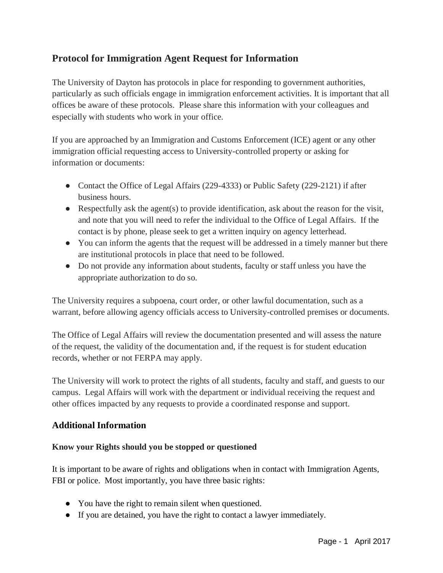## **Protocol for Immigration Agent Request for Information**

The University of Dayton has protocols in place for responding to government authorities, particularly as such officials engage in immigration enforcement activities. It is important that all offices be aware of these protocols. Please share this information with your colleagues and especially with students who work in your office.

If you are approached by an Immigration and Customs Enforcement (ICE) agent or any other immigration official requesting access to University-controlled property or asking for information or documents:

- Contact the Office of Legal Affairs (229-4333) or Public Safety (229-2121) if after business hours.
- Respectfully ask the agent(s) to provide identification, ask about the reason for the visit, and note that you will need to refer the individual to the Office of Legal Affairs. If the contact is by phone, please seek to get a written inquiry on agency letterhead.
- You can inform the agents that the request will be addressed in a timely manner but there are institutional protocols in place that need to be followed.
- Do not provide any information about students, faculty or staff unless you have the appropriate authorization to do so.

The University requires a subpoena, court order, or other lawful documentation, such as a warrant, before allowing agency officials access to University-controlled premises or documents.

The Office of Legal Affairs will review the documentation presented and will assess the nature of the request, the validity of the documentation and, if the request is for student education records, whether or not FERPA may apply.

The University will work to protect the rights of all students, faculty and staff, and guests to our campus. Legal Affairs will work with the department or individual receiving the request and other offices impacted by any requests to provide a coordinated response and support.

## **Additional Information**

## **Know your Rights should you be stopped or questioned**

It is important to be aware of rights and obligations when in contact with Immigration Agents, FBI or police. Most importantly, you have three basic rights:

- You have the right to remain silent when questioned.
- If you are detained, you have the right to contact a lawyer immediately.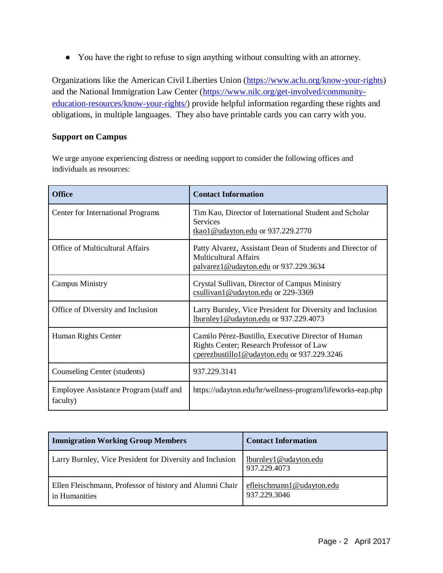● You have the right to refuse to sign anything without consulting with an attorney.

Organizations like the American Civil Liberties Union [\(https://www.aclu.org/know-your-rights\)](https://www.aclu.org/know-your-rights) and the National Immigration Law Center [\(https://www.nilc.org/get-involved/community](https://www.nilc.org/get-involved/community-education-resources/know-your-rights/)[education-resources/know-your-rights/\)](https://www.nilc.org/get-involved/community-education-resources/know-your-rights/) provide helpful information regarding these rights and obligations, in multiple languages. They also have printable cards you can carry with you.

## **Support on Campus**

We urge anyone experiencing distress or needing support to consider the following offices and individuals as resources:

| <b>Office</b>                                      | <b>Contact Information</b>                                                                                                                    |
|----------------------------------------------------|-----------------------------------------------------------------------------------------------------------------------------------------------|
| Center for International Programs                  | Tim Kao, Director of International Student and Scholar<br><b>Services</b><br>tkao1@udayton.edu or 937.229.2770                                |
| Office of Multicultural Affairs                    | Patty Alvarez, Assistant Dean of Students and Director of<br><b>Multicultural Affairs</b><br>palvarez1@udayton.edu or 937.229.3634            |
| <b>Campus Ministry</b>                             | Crystal Sullivan, Director of Campus Ministry<br>csullivan1@udayton.edu or 229-3369                                                           |
| Office of Diversity and Inclusion                  | Larry Burnley, Vice President for Diversity and Inclusion<br>lburnley1@udayton.edu or 937.229.4073                                            |
| Human Rights Center                                | Camilo Pérez-Bustillo, Executive Director of Human<br>Rights Center; Research Professor of Law<br>cperezbustillo1@udayton.edu or 937.229.3246 |
| Counseling Center (students)                       | 937.229.3141                                                                                                                                  |
| Employee Assistance Program (staff and<br>faculty) | https://udayton.edu/hr/wellness-program/lifeworks-eap.php                                                                                     |

| <b>Immigration Working Group Members</b>                                  | <b>Contact Information</b>                |
|---------------------------------------------------------------------------|-------------------------------------------|
| Larry Burnley, Vice President for Diversity and Inclusion                 | lburnley1@udayton.edu<br>937.229.4073     |
| Ellen Fleischmann, Professor of history and Alumni Chair<br>in Humanities | efleischmann1@udayton.edu<br>937.229.3046 |